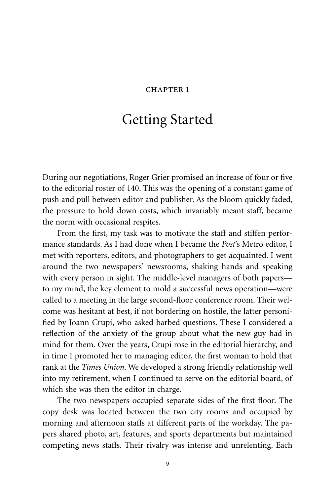## CHAPTER 1

## Getting Started

During our negotiations, Roger Grier promised an increase of four or five to the editorial roster of 140. This was the opening of a constant game of push and pull between editor and publisher. As the bloom quickly faded, the pressure to hold down costs, which invariably meant staff, became the norm with occasional respites.

From the first, my task was to motivate the staff and stiffen performance standards. As I had done when I became the *Post*'s Metro editor, I met with reporters, editors, and photographers to get acquainted. I went around the two newspapers' newsrooms, shaking hands and speaking with every person in sight. The middle-level managers of both papers to my mind, the key element to mold a successful news operation—were called to a meeting in the large second-floor conference room. Their welcome was hesitant at best, if not bordering on hostile, the latter personified by Joann Crupi, who asked barbed questions. These I considered a reflection of the anxiety of the group about what the new guy had in mind for them. Over the years, Crupi rose in the editorial hierarchy, and in time I promoted her to managing editor, the first woman to hold that rank at the *Times Union*. We developed a strong friendly relationship well into my retirement, when I continued to serve on the editorial board, of which she was then the editor in charge.

The two newspapers occupied separate sides of the first floor. The copy desk was located between the two city rooms and occupied by morning and afternoon staffs at different parts of the workday. The papers shared photo, art, features, and sports departments but maintained competing news staffs. Their rivalry was intense and unrelenting. Each

9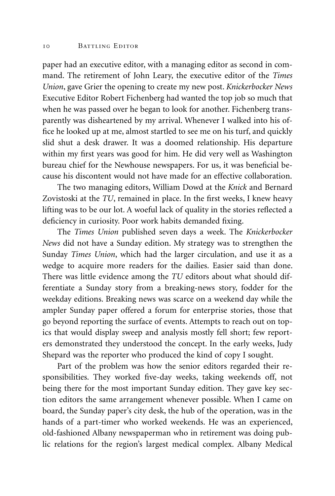paper had an executive editor, with a managing editor as second in command. The retirement of John Leary, the executive editor of the *Times Union*, gave Grier the opening to create my new post. *Knickerbocker News* Executive Editor Robert Fichenberg had wanted the top job so much that when he was passed over he began to look for another. Fichenberg transparently was disheartened by my arrival. Whenever I walked into his office he looked up at me, almost startled to see me on his turf, and quickly slid shut a desk drawer. It was a doomed relationship. His departure within my first years was good for him. He did very well as Washington bureau chief for the Newhouse newspapers. For us, it was beneficial because his discontent would not have made for an effective collaboration.

The two managing editors, William Dowd at the *Knick* and Bernard Zovistoski at the *TU*, remained in place. In the first weeks, I knew heavy lifting was to be our lot. A woeful lack of quality in the stories reflected a deficiency in curiosity. Poor work habits demanded fixing.

The *Times Union* published seven days a week. The *Knickerbocker News* did not have a Sunday edition. My strategy was to strengthen the Sunday *Times Union*, which had the larger circulation, and use it as a wedge to acquire more readers for the dailies. Easier said than done. There was little evidence among the *TU* editors about what should differentiate a Sunday story from a breaking-news story, fodder for the weekday editions. Breaking news was scarce on a weekend day while the ampler Sunday paper offered a forum for enterprise stories, those that go beyond reporting the surface of events. Attempts to reach out on topics that would display sweep and analysis mostly fell short; few reporters demonstrated they understood the concept. In the early weeks, Judy Shepard was the reporter who produced the kind of copy I sought.

Part of the problem was how the senior editors regarded their responsibilities. They worked five-day weeks, taking weekends off, not being there for the most important Sunday edition. They gave key section editors the same arrangement whenever possible. When I came on board, the Sunday paper's city desk, the hub of the operation, was in the hands of a part-timer who worked weekends. He was an experienced, old-fashioned Albany newspaperman who in retirement was doing public relations for the region's largest medical complex. Albany Medical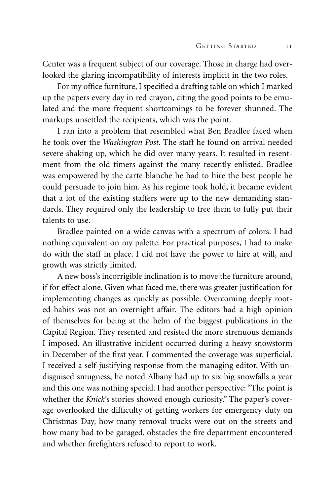Center was a frequent subject of our coverage. Those in charge had overlooked the glaring incompatibility of interests implicit in the two roles.

For my office furniture, I specified a drafting table on which I marked up the papers every day in red crayon, citing the good points to be emulated and the more frequent shortcomings to be forever shunned. The markups unsettled the recipients, which was the point.

I ran into a problem that resembled what Ben Bradlee faced when he took over the *Washington Post*. The staff he found on arrival needed severe shaking up, which he did over many years. It resulted in resentment from the old-timers against the many recently enlisted. Bradlee was empowered by the carte blanche he had to hire the best people he could persuade to join him. As his regime took hold, it became evident that a lot of the existing staffers were up to the new demanding standards. They required only the leadership to free them to fully put their talents to use.

Bradlee painted on a wide canvas with a spectrum of colors. I had nothing equivalent on my palette. For practical purposes, I had to make do with the staff in place. I did not have the power to hire at will, and growth was strictly limited.

A new boss's incorrigible inclination is to move the furniture around, if for effect alone. Given what faced me, there was greater justification for implementing changes as quickly as possible. Overcoming deeply rooted habits was not an overnight affair. The editors had a high opinion of themselves for being at the helm of the biggest publications in the Capital Region. They resented and resisted the more strenuous demands I imposed. An illustrative incident occurred during a heavy snowstorm in December of the first year. I commented the coverage was superficial. I received a self-justifying response from the managing editor. With undisguised smugness, he noted Albany had up to six big snowfalls a year and this one was nothing special. I had another perspective: "The point is whether the *Knick*'s stories showed enough curiosity." The paper's coverage overlooked the difficulty of getting workers for emergency duty on Christmas Day, how many removal trucks were out on the streets and how many had to be garaged, obstacles the fire department encountered and whether firefighters refused to report to work.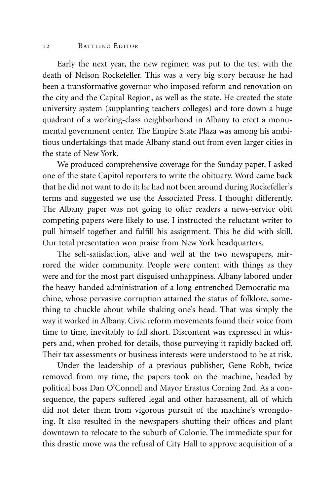Early the next year, the new regimen was put to the test with the death of Nelson Rockefeller. This was a very big story because he had been a transformative governor who imposed reform and renovation on the city and the Capital Region, as well as the state. He created the state university system (supplanting teachers colleges) and tore down a huge quadrant of a working-class neighborhood in Albany to erect a monumental government center. The Empire State Plaza was among his ambitious undertakings that made Albany stand out from even larger cities in the state of New York.

We produced comprehensive coverage for the Sunday paper. I asked one of the state Capitol reporters to write the obituary. Word came back that he did not want to do it; he had not been around during Rockefeller's terms and suggested we use the Associated Press. I thought differently. The Albany paper was not going to offer readers a news-service obit competing papers were likely to use. I instructed the reluctant writer to pull himself together and fulfill his assignment. This he did with skill. Our total presentation won praise from New York headquarters.

The self-satisfaction, alive and well at the two newspapers, mirrored the wider community. People were content with things as they were and for the most part disguised unhappiness. Albany labored under the heavy-handed administration of a long-entrenched Democratic machine, whose pervasive corruption attained the status of folklore, something to chuckle about while shaking one's head. That was simply the way it worked in Albany. Civic reform movements found their voice from time to time, inevitably to fall short. Discontent was expressed in whispers and, when probed for details, those purveying it rapidly backed off. Their tax assessments or business interests were understood to be at risk.

Under the leadership of a previous publisher, Gene Robb, twice removed from my time, the papers took on the machine, headed by political boss Dan O'Connell and Mayor Erastus Corning 2nd. As a consequence, the papers suffered legal and other harassment, all of which did not deter them from vigorous pursuit of the machine's wrongdoing. It also resulted in the newspapers shutting their offices and plant downtown to relocate to the suburb of Colonie. The immediate spur for this drastic move was the refusal of City Hall to approve acquisition of a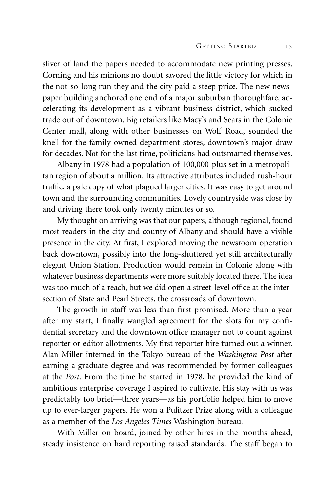sliver of land the papers needed to accommodate new printing presses. Corning and his minions no doubt savored the little victory for which in the not-so-long run they and the city paid a steep price. The new newspaper building anchored one end of a major suburban thoroughfare, accelerating its development as a vibrant business district, which sucked trade out of downtown. Big retailers like Macy's and Sears in the Colonie Center mall, along with other businesses on Wolf Road, sounded the knell for the family-owned department stores, downtown's major draw for decades. Not for the last time, politicians had outsmarted themselves.

Albany in 1978 had a population of 100,000-plus set in a metropolitan region of about a million. Its attractive attributes included rush-hour traffic, a pale copy of what plagued larger cities. It was easy to get around town and the surrounding communities. Lovely countryside was close by and driving there took only twenty minutes or so.

My thought on arriving was that our papers, although regional, found most readers in the city and county of Albany and should have a visible presence in the city. At first, I explored moving the newsroom operation back downtown, possibly into the long-shuttered yet still architecturally elegant Union Station. Production would remain in Colonie along with whatever business departments were more suitably located there. The idea was too much of a reach, but we did open a street-level office at the intersection of State and Pearl Streets, the crossroads of downtown.

The growth in staff was less than first promised. More than a year after my start, I finally wangled agreement for the slots for my confidential secretary and the downtown office manager not to count against reporter or editor allotments. My first reporter hire turned out a winner. Alan Miller interned in the Tokyo bureau of the *Washington Post* after earning a graduate degree and was recommended by former colleagues at the *Post*. From the time he started in 1978, he provided the kind of ambitious enterprise coverage I aspired to cultivate. His stay with us was predictably too brief—three years—as his portfolio helped him to move up to ever-larger papers. He won a Pulitzer Prize along with a colleague as a member of the *Los Angeles Times* Washington bureau.

With Miller on board, joined by other hires in the months ahead, steady insistence on hard reporting raised standards. The staff began to